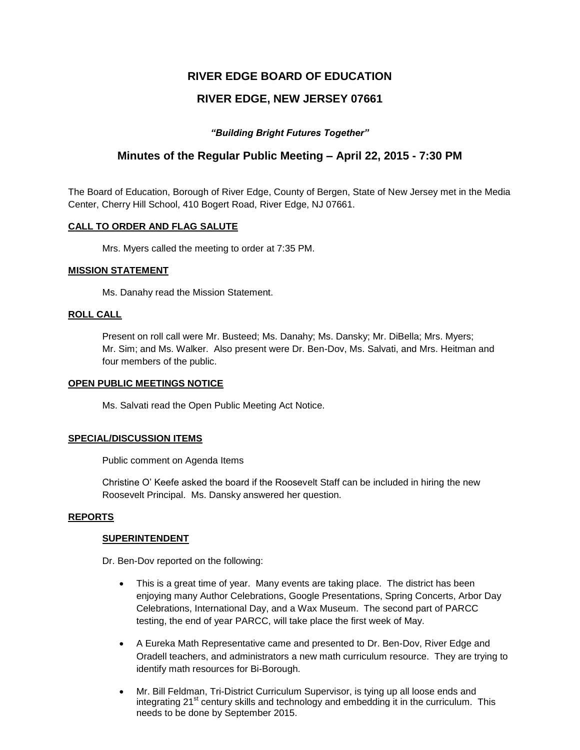# **RIVER EDGE BOARD OF EDUCATION**

# **RIVER EDGE, NEW JERSEY 07661**

# *"Building Bright Futures Together"*

# **Minutes of the Regular Public Meeting – April 22, 2015 - 7:30 PM**

The Board of Education, Borough of River Edge, County of Bergen, State of New Jersey met in the Media Center, Cherry Hill School, 410 Bogert Road, River Edge, NJ 07661.

# **CALL TO ORDER AND FLAG SALUTE**

Mrs. Myers called the meeting to order at 7:35 PM.

# **MISSION STATEMENT**

Ms. Danahy read the Mission Statement.

# **ROLL CALL**

Present on roll call were Mr. Busteed; Ms. Danahy; Ms. Dansky; Mr. DiBella; Mrs. Myers; Mr. Sim; and Ms. Walker. Also present were Dr. Ben-Dov, Ms. Salvati, and Mrs. Heitman and four members of the public.

### **OPEN PUBLIC MEETINGS NOTICE**

Ms. Salvati read the Open Public Meeting Act Notice.

### **SPECIAL/DISCUSSION ITEMS**

Public comment on Agenda Items

Christine O' Keefe asked the board if the Roosevelt Staff can be included in hiring the new Roosevelt Principal. Ms. Dansky answered her question.

### **REPORTS**

# **SUPERINTENDENT**

Dr. Ben-Dov reported on the following:

- This is a great time of year. Many events are taking place. The district has been enjoying many Author Celebrations, Google Presentations, Spring Concerts, Arbor Day Celebrations, International Day, and a Wax Museum. The second part of PARCC testing, the end of year PARCC, will take place the first week of May.
- A Eureka Math Representative came and presented to Dr. Ben-Dov, River Edge and Oradell teachers, and administrators a new math curriculum resource. They are trying to identify math resources for Bi-Borough.
- Mr. Bill Feldman, Tri-District Curriculum Supervisor, is tying up all loose ends and integrating 21<sup>st</sup> century skills and technology and embedding it in the curriculum. This needs to be done by September 2015.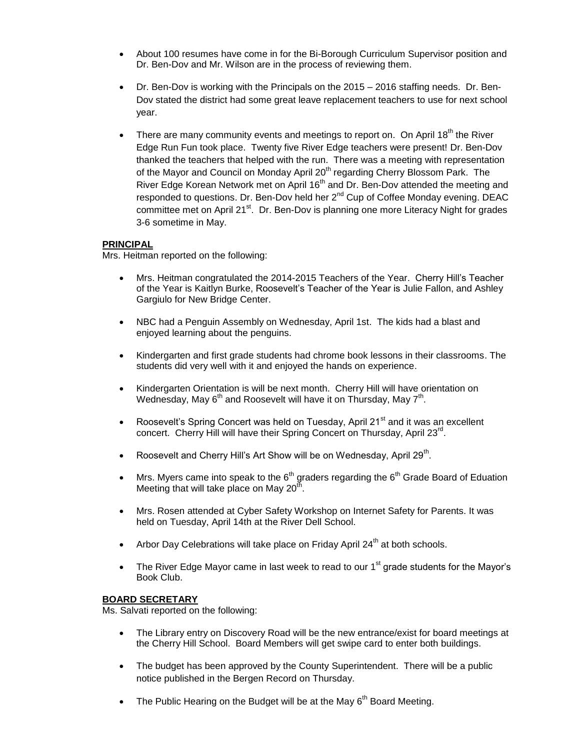- About 100 resumes have come in for the Bi-Borough Curriculum Supervisor position and Dr. Ben-Dov and Mr. Wilson are in the process of reviewing them.
- Dr. Ben-Dov is working with the Principals on the 2015 2016 staffing needs. Dr. Ben-Dov stated the district had some great leave replacement teachers to use for next school year.
- **•** There are many community events and meetings to report on. On April 18<sup>th</sup> the River Edge Run Fun took place. Twenty five River Edge teachers were present! Dr. Ben-Dov thanked the teachers that helped with the run. There was a meeting with representation of the Mayor and Council on Monday April 20<sup>th</sup> regarding Cherry Blossom Park. The River Edge Korean Network met on April 16<sup>th</sup> and Dr. Ben-Dov attended the meeting and responded to questions. Dr. Ben-Dov held her  $2^{nd}$  Cup of Coffee Monday evening. DEAC committee met on April 21<sup>st</sup>. Dr. Ben-Dov is planning one more Literacy Night for grades 3-6 sometime in May.

# **PRINCIPAL**

Mrs. Heitman reported on the following:

- Mrs. Heitman congratulated the 2014-2015 Teachers of the Year. Cherry Hill's Teacher of the Year is Kaitlyn Burke, Roosevelt's Teacher of the Year is Julie Fallon, and Ashley Gargiulo for New Bridge Center.
- NBC had a Penguin Assembly on Wednesday, April 1st. The kids had a blast and enjoyed learning about the penguins.
- Kindergarten and first grade students had chrome book lessons in their classrooms. The students did very well with it and enjoyed the hands on experience.
- Kindergarten Orientation is will be next month. Cherry Hill will have orientation on Wednesday, May 6<sup>th</sup> and Roosevelt will have it on Thursday, May 7<sup>th</sup>.
- Roosevelt's Spring Concert was held on Tuesday, April 21 $^{\text{st}}$  and it was an excellent concert. Cherry Hill will have their Spring Concert on Thursday, April 23<sup>rd</sup>.
- Roosevelt and Cherry Hill's Art Show will be on Wednesday, April 29<sup>th</sup>.
- Mrs. Myers came into speak to the  $6<sup>th</sup>$  graders regarding the  $6<sup>th</sup>$  Grade Board of Eduation Meeting that will take place on May  $20<sup>th</sup>$ .
- Mrs. Rosen attended at Cyber Safety Workshop on Internet Safety for Parents. It was held on Tuesday, April 14th at the River Dell School.
- Arbor Day Celebrations will take place on Friday April  $24<sup>th</sup>$  at both schools.
- The River Edge Mayor came in last week to read to our  $1<sup>st</sup>$  grade students for the Mayor's Book Club.

# **BOARD SECRETARY**

Ms. Salvati reported on the following:

- The Library entry on Discovery Road will be the new entrance/exist for board meetings at the Cherry Hill School. Board Members will get swipe card to enter both buildings.
- The budget has been approved by the County Superintendent. There will be a public notice published in the Bergen Record on Thursday.
- The Public Hearing on the Budget will be at the May  $6<sup>th</sup>$  Board Meeting.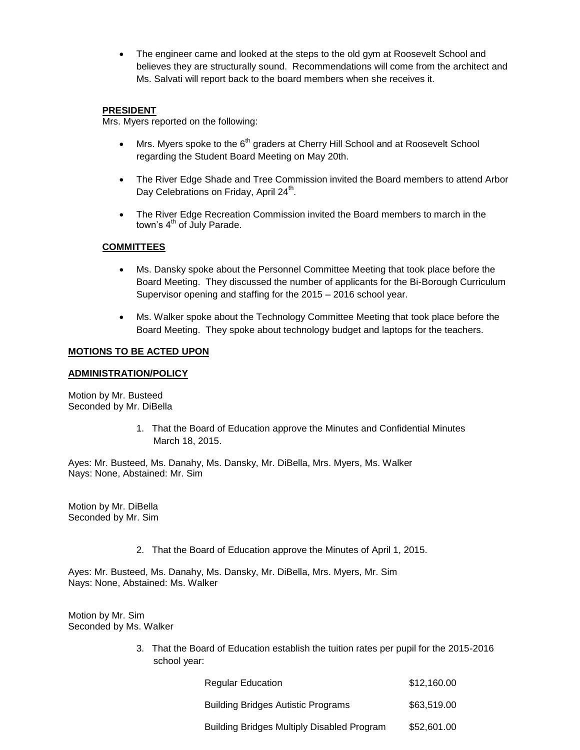The engineer came and looked at the steps to the old gym at Roosevelt School and believes they are structurally sound. Recommendations will come from the architect and Ms. Salvati will report back to the board members when she receives it.

# **PRESIDENT**

Mrs. Myers reported on the following:

- $\bullet$  Mrs. Myers spoke to the 6<sup>th</sup> graders at Cherry Hill School and at Roosevelt School regarding the Student Board Meeting on May 20th.
- The River Edge Shade and Tree Commission invited the Board members to attend Arbor Day Celebrations on Friday, April 24<sup>th</sup>.
- The River Edge Recreation Commission invited the Board members to march in the town's 4<sup>th</sup> of July Parade.

# **COMMITTEES**

- Ms. Dansky spoke about the Personnel Committee Meeting that took place before the Board Meeting. They discussed the number of applicants for the Bi-Borough Curriculum Supervisor opening and staffing for the 2015 – 2016 school year.
- Ms. Walker spoke about the Technology Committee Meeting that took place before the Board Meeting. They spoke about technology budget and laptops for the teachers.

# **MOTIONS TO BE ACTED UPON**

# **ADMINISTRATION/POLICY**

Motion by Mr. Busteed Seconded by Mr. DiBella

> 1. That the Board of Education approve the Minutes and Confidential Minutes March 18, 2015.

Ayes: Mr. Busteed, Ms. Danahy, Ms. Dansky, Mr. DiBella, Mrs. Myers, Ms. Walker Nays: None, Abstained: Mr. Sim

Motion by Mr. DiBella Seconded by Mr. Sim

2. That the Board of Education approve the Minutes of April 1, 2015.

Ayes: Mr. Busteed, Ms. Danahy, Ms. Dansky, Mr. DiBella, Mrs. Myers, Mr. Sim Nays: None, Abstained: Ms. Walker

Motion by Mr. Sim Seconded by Ms. Walker

> 3. That the Board of Education establish the tuition rates per pupil for the 2015-2016 school year:

| <b>Regular Education</b>                          | \$12,160.00 |
|---------------------------------------------------|-------------|
| <b>Building Bridges Autistic Programs</b>         | \$63,519,00 |
| <b>Building Bridges Multiply Disabled Program</b> | \$52,601.00 |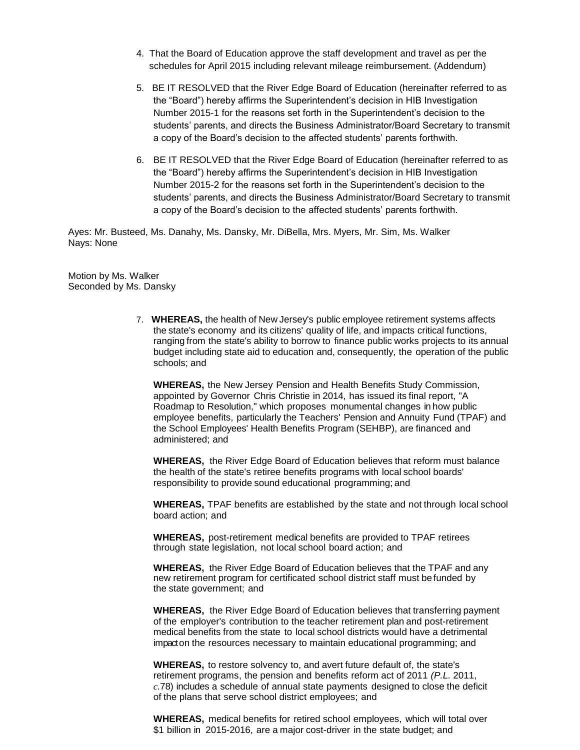- 4. That the Board of Education approve the staff development and travel as per the schedules for April 2015 including relevant mileage reimbursement. (Addendum)
- 5. BE IT RESOLVED that the River Edge Board of Education (hereinafter referred to as the "Board") hereby affirms the Superintendent's decision in HIB Investigation Number 2015-1 for the reasons set forth in the Superintendent's decision to the students' parents, and directs the Business Administrator/Board Secretary to transmit a copy of the Board's decision to the affected students' parents forthwith.
- 6. BE IT RESOLVED that the River Edge Board of Education (hereinafter referred to as the "Board") hereby affirms the Superintendent's decision in HIB Investigation Number 2015-2 for the reasons set forth in the Superintendent's decision to the students' parents, and directs the Business Administrator/Board Secretary to transmit a copy of the Board's decision to the affected students' parents forthwith.

Ayes: Mr. Busteed, Ms. Danahy, Ms. Dansky, Mr. DiBella, Mrs. Myers, Mr. Sim, Ms. Walker Nays: None

Motion by Ms. Walker Seconded by Ms. Dansky

> 7. **WHEREAS,** the health of New Jersey's public employee retirement systems affects the state's economy and its citizens' quality of life, and impacts critical functions, ranging from the state's ability to borrow to finance public works projects to its annual budget including state aid to education and, consequently, the operation of the public schools; and

**WHEREAS,** the New Jersey Pension and Health Benefits Study Commission, appointed by Governor Chris Christie in 2014, has issued its final report, "A Roadmap to Resolution," which proposes monumental changes in how public employee benefits, particularly the Teachers' Pension and Annuity Fund (TPAF) and the School Employees' Health Benefits Program (SEHBP), are financed and administered; and

**WHEREAS,** the River Edge Board of Education believes that reform must balance the health of the state's retiree benefits programs with local school boards' responsibility to provide sound educational programming; and

**WHEREAS,** TPAF benefits are established by the state and not through local school board action; and

**WHEREAS,** post-retirement medical benefits are provided to TPAF retirees through state legislation, not local school board action; and

**WHEREAS,** the River Edge Board of Education believes that the TPAF and any new retirement program for certificated school district staff must be funded by the state government; and

**WHEREAS,** the River Edge Board of Education believes that transferring payment of the employer's contribution to the teacher retirement plan and post-retirement medical benefits from the state to local school districts would have a detrimental impact on the resources necessary to maintain educational programming; and

**WHEREAS,** to restore solvency to, and avert future default of, the state's retirement programs, the pension and benefits reform act of 2011 *(P.L.* 2011, *c.*78) includes a schedule of annual state payments designed to close the deficit of the plans that serve school district employees; and

**WHEREAS,** medical benefits for retired school employees, which will total over \$1 billion in 2015-2016, are a major cost-driver in the state budget; and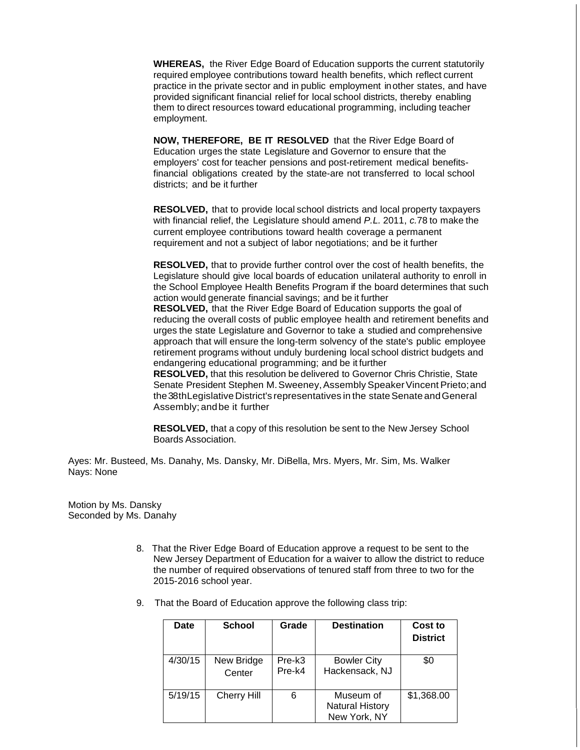**WHEREAS,** the River Edge Board of Education supports the current statutorily required employee contributions toward health benefits, which reflect current practice in the private sector and in public employment inother states, and have provided significant financial relief for local school districts, thereby enabling them to direct resources toward educational programming, including teacher employment.

**NOW, THEREFORE, BE IT RESOLVED** that the River Edge Board of Education urges the state Legislature and Governor to ensure that the employers' cost for teacher pensions and post-retirement medical benefitsfinancial obligations created by the state-are not transferred to local school districts; and be it further

**RESOLVED,** that to provide local school districts and local property taxpayers with financial relief, the Legislature should amend *P.L.* 2011, *c.*78 to make the current employee contributions toward health coverage a permanent requirement and not a subject of labor negotiations; and be it further

**RESOLVED,** that to provide further control over the cost of health benefits, the Legislature should give local boards of education unilateral authority to enroll in the School Employee Health Benefits Program if the board determines that such action would generate financial savings; and be it further **RESOLVED,** that the River Edge Board of Education supports the goal of reducing the overall costs of public employee health and retirement benefits and urges the state Legislature and Governor to take a studied and comprehensive approach that will ensure the long-term solvency of the state's public employee retirement programs without unduly burdening local school district budgets and endangering educational programming; and be it further **RESOLVED,** that this resolution be delivered to Governor Chris Christie, State Senate President Stephen M. Sweeney, Assembly Speaker Vincent Prieto; and the 38 th Legislative District's representatives in the state Senate and General Assembly; andbe it further

**RESOLVED,** that a copy of this resolution be sent to the New Jersey School Boards Association.

Ayes: Mr. Busteed, Ms. Danahy, Ms. Dansky, Mr. DiBella, Mrs. Myers, Mr. Sim, Ms. Walker Nays: None

Motion by Ms. Dansky Seconded by Ms. Danahy

- 8. That the River Edge Board of Education approve a request to be sent to the New Jersey Department of Education for a waiver to allow the district to reduce the number of required observations of tenured staff from three to two for the 2015-2016 school year.
- 9. That the Board of Education approve the following class trip:

| Date    | <b>School</b>        | Grade            | <b>Destination</b>                                  | Cost to<br><b>District</b> |
|---------|----------------------|------------------|-----------------------------------------------------|----------------------------|
| 4/30/15 | New Bridge<br>Center | Pre-k3<br>Pre-k4 | <b>Bowler City</b><br>Hackensack, NJ                | \$0                        |
| 5/19/15 | Cherry Hill          | 6                | Museum of<br><b>Natural History</b><br>New York, NY | \$1,368.00                 |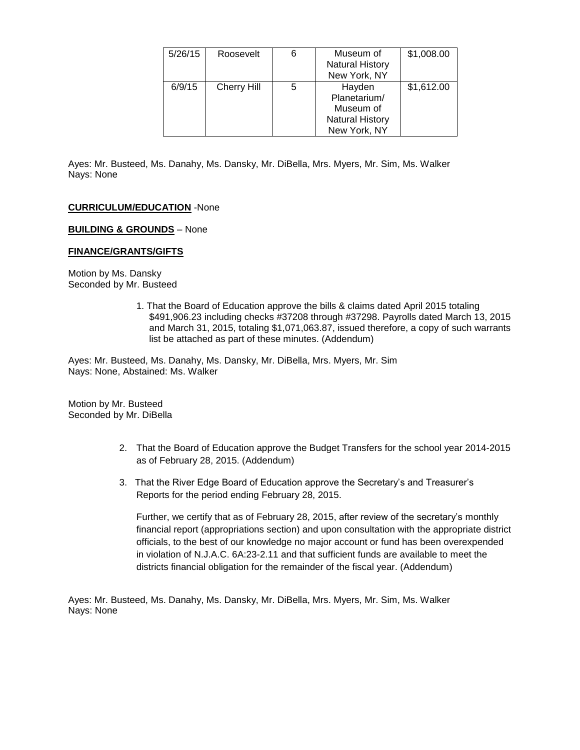| 5/26/15 | Roosevelt          | 6 | Museum of<br><b>Natural History</b><br>New York, NY                           | \$1,008.00 |
|---------|--------------------|---|-------------------------------------------------------------------------------|------------|
| 6/9/15  | <b>Cherry Hill</b> | 5 | Hayden<br>Planetarium/<br>Museum of<br><b>Natural History</b><br>New York, NY | \$1,612.00 |

Ayes: Mr. Busteed, Ms. Danahy, Ms. Dansky, Mr. DiBella, Mrs. Myers, Mr. Sim, Ms. Walker Nays: None

### **CURRICULUM/EDUCATION** -None

### **BUILDING & GROUNDS** – None

#### **FINANCE/GRANTS/GIFTS**

Motion by Ms. Dansky Seconded by Mr. Busteed

> 1. That the Board of Education approve the bills & claims dated April 2015 totaling \$491,906.23 including checks #37208 through #37298. Payrolls dated March 13, 2015 and March 31, 2015, totaling \$1,071,063.87, issued therefore, a copy of such warrants list be attached as part of these minutes. (Addendum)

Ayes: Mr. Busteed, Ms. Danahy, Ms. Dansky, Mr. DiBella, Mrs. Myers, Mr. Sim Nays: None, Abstained: Ms. Walker

Motion by Mr. Busteed Seconded by Mr. DiBella

- 2. That the Board of Education approve the Budget Transfers for the school year 2014-2015 as of February 28, 2015. (Addendum)
- 3. That the River Edge Board of Education approve the Secretary's and Treasurer's Reports for the period ending February 28, 2015.

Further, we certify that as of February 28, 2015, after review of the secretary's monthly financial report (appropriations section) and upon consultation with the appropriate district officials, to the best of our knowledge no major account or fund has been overexpended in violation of N.J.A.C. 6A:23-2.11 and that sufficient funds are available to meet the districts financial obligation for the remainder of the fiscal year. (Addendum)

Ayes: Mr. Busteed, Ms. Danahy, Ms. Dansky, Mr. DiBella, Mrs. Myers, Mr. Sim, Ms. Walker Nays: None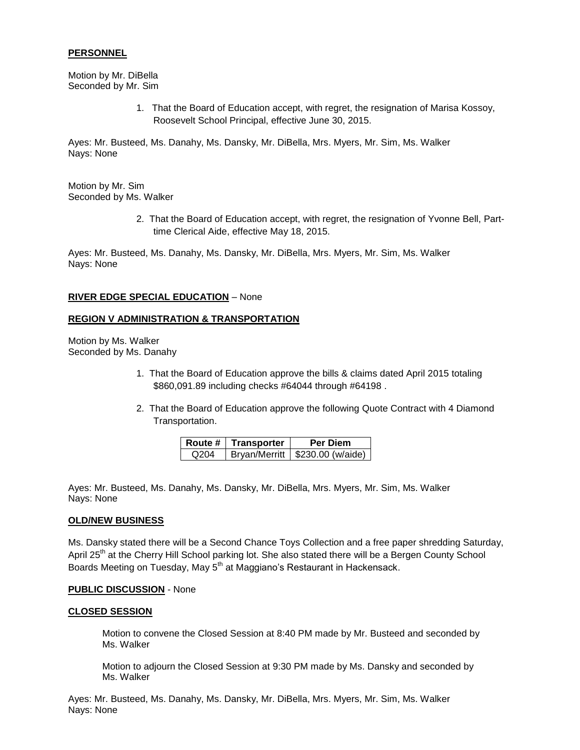### **PERSONNEL**

Motion by Mr. DiBella Seconded by Mr. Sim

> 1. That the Board of Education accept, with regret, the resignation of Marisa Kossoy, Roosevelt School Principal, effective June 30, 2015.

Ayes: Mr. Busteed, Ms. Danahy, Ms. Dansky, Mr. DiBella, Mrs. Myers, Mr. Sim, Ms. Walker Nays: None

Motion by Mr. Sim Seconded by Ms. Walker

> 2. That the Board of Education accept, with regret, the resignation of Yvonne Bell, Parttime Clerical Aide, effective May 18, 2015.

Ayes: Mr. Busteed, Ms. Danahy, Ms. Dansky, Mr. DiBella, Mrs. Myers, Mr. Sim, Ms. Walker Nays: None

### **RIVER EDGE SPECIAL EDUCATION** – None

### **REGION V ADMINISTRATION & TRANSPORTATION**

Motion by Ms. Walker Seconded by Ms. Danahy

- 1. That the Board of Education approve the bills & claims dated April 2015 totaling \$860,091.89 including checks #64044 through #64198 .
- 2. That the Board of Education approve the following Quote Contract with 4 Diamond Transportation.

|      | Route $#$   Transporter | <b>Per Diem</b>                    |
|------|-------------------------|------------------------------------|
| Q204 |                         | Bryan/Merritt   $$230.00$ (w/aide) |

Ayes: Mr. Busteed, Ms. Danahy, Ms. Dansky, Mr. DiBella, Mrs. Myers, Mr. Sim, Ms. Walker Nays: None

### **OLD/NEW BUSINESS**

Ms. Dansky stated there will be a Second Chance Toys Collection and a free paper shredding Saturday, April 25<sup>th</sup> at the Cherry Hill School parking lot. She also stated there will be a Bergen County School Boards Meeting on Tuesday, May 5<sup>th</sup> at Maggiano's Restaurant in Hackensack.

### **PUBLIC DISCUSSION** - None

### **CLOSED SESSION**

Motion to convene the Closed Session at 8:40 PM made by Mr. Busteed and seconded by Ms. Walker

Motion to adjourn the Closed Session at 9:30 PM made by Ms. Dansky and seconded by Ms. Walker

Ayes: Mr. Busteed, Ms. Danahy, Ms. Dansky, Mr. DiBella, Mrs. Myers, Mr. Sim, Ms. Walker Nays: None